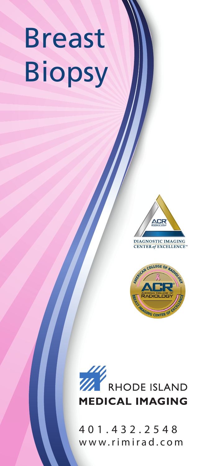# Breast Biopsy



**CENTER of EXCELLENCE** 





401.432.2548 www.rimirad.com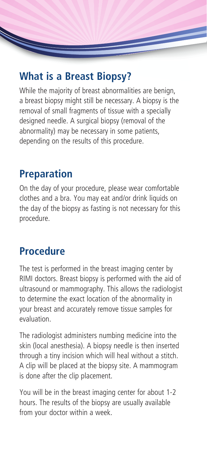# **What is a Breast Biopsy?**

While the majority of breast abnormalities are benign, a breast biopsy might still be necessary. A biopsy is the removal of small fragments of tissue with a specially designed needle. A surgical biopsy (removal of the abnormality) may be necessary in some patients, depending on the results of this procedure.

## **Preparation**

On the day of your procedure, please wear comfortable clothes and a bra. You may eat and/or drink liquids on the day of the biopsy as fasting is not necessary for this procedure.

# **Procedure**

The test is performed in the breast imaging center by RIMI doctors. Breast biopsy is performed with the aid of ultrasound or mammography. This allows the radiologist to determine the exact location of the abnormality in your breast and accurately remove tissue samples for evaluation.

The radiologist administers numbing medicine into the skin (local anesthesia). A biopsy needle is then inserted through a tiny incision which will heal without a stitch. A clip will be placed at the biopsy site. A mammogram is done after the clip placement.

You will be in the breast imaging center for about 1-2 hours. The results of the biopsy are usually available from your doctor within a week.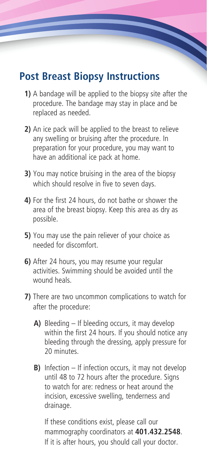## **Post Breast Biopsy Instructions**

- **1)** A bandage will be applied to the biopsy site after the procedure. The bandage may stay in place and be replaced as needed.
- **2)** An ice pack will be applied to the breast to relieve any swelling or bruising after the procedure. In preparation for your procedure, you may want to have an additional ice pack at home.
- **3)** You may notice bruising in the area of the biopsy which should resolve in five to seven days.
- **4)** For the first 24 hours, do not bathe or shower the area of the breast biopsy. Keep this area as dry as possible.
- **5)** You may use the pain reliever of your choice as needed for discomfort.
- **6)** After 24 hours, you may resume your regular activities. Swimming should be avoided until the wound heals.
- **7)** There are two uncommon complications to watch for after the procedure:
	- **A)** Bleeding If bleeding occurs, it may develop within the first 24 hours. If you should notice any bleeding through the dressing, apply pressure for 20 minutes.
	- **B)** Infection If infection occurs, it may not develop until 48 to 72 hours after the procedure. Signs to watch for are: redness or heat around the incision, excessive swelling, tenderness and drainage.

If these conditions exist, please call our mammography coordinators at **401.432.2548**. If it is after hours, you should call your doctor.